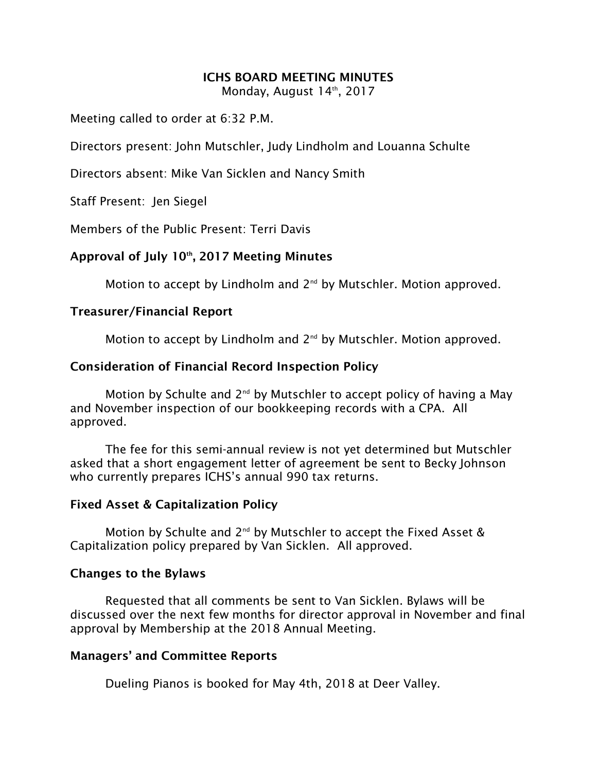## **ICHS BOARD MEETING MINUTES**

Monday, August 14th, 2017

Meeting called to order at 6:32 P.M.

Directors present: John Mutschler, Judy Lindholm and Louanna Schulte

Directors absent: Mike Van Sicklen and Nancy Smith

Staff Present: Jen Siegel

Members of the Public Present: Terri Davis

# **Approval of July 10th, 2017 Meeting Minutes**

Motion to accept by Lindholm and 2<sup>nd</sup> by Mutschler. Motion approved.

## **Treasurer/Financial Report**

Motion to accept by Lindholm and  $2^{nd}$  by Mutschler. Motion approved.

## **Consideration of Financial Record Inspection Policy**

Motion by Schulte and  $2^{nd}$  by Mutschler to accept policy of having a May and November inspection of our bookkeeping records with a CPA. All approved.

The fee for this semi-annual review is not yet determined but Mutschler asked that a short engagement letter of agreement be sent to Becky Johnson who currently prepares ICHS's annual 990 tax returns.

#### **Fixed Asset & Capitalization Policy**

Motion by Schulte and  $2^{nd}$  by Mutschler to accept the Fixed Asset & Capitalization policy prepared by Van Sicklen. All approved.

## **Changes to the Bylaws**

Requested that all comments be sent to Van Sicklen. Bylaws will be discussed over the next few months for director approval in November and final approval by Membership at the 2018 Annual Meeting.

## **Managers' and Committee Reports**

Dueling Pianos is booked for May 4th, 2018 at Deer Valley.